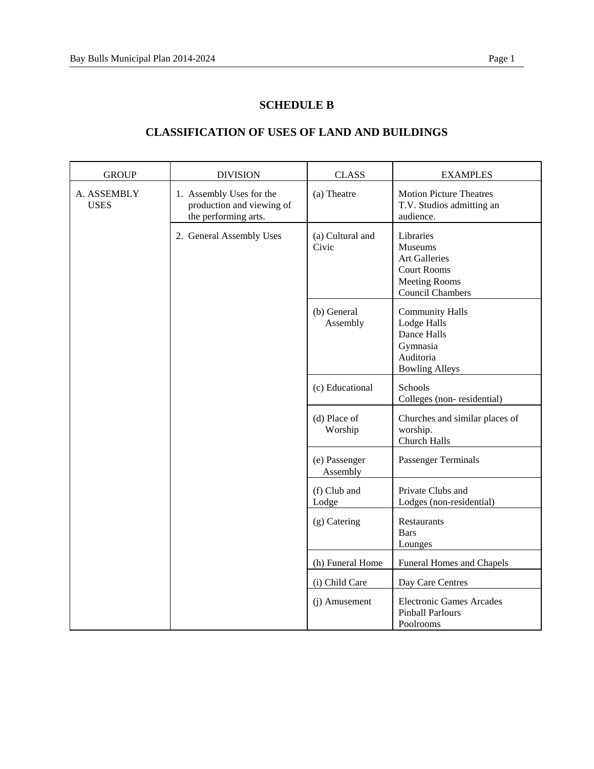## **SCHEDULE B**

| <b>GROUP</b>               | <b>DIVISION</b>                                                               | <b>CLASS</b>              | <b>EXAMPLES</b>                                                                                                       |
|----------------------------|-------------------------------------------------------------------------------|---------------------------|-----------------------------------------------------------------------------------------------------------------------|
| A. ASSEMBLY<br><b>USES</b> | 1. Assembly Uses for the<br>production and viewing of<br>the performing arts. | (a) Theatre               | <b>Motion Picture Theatres</b><br>T.V. Studios admitting an<br>audience.                                              |
|                            | 2. General Assembly Uses                                                      | (a) Cultural and<br>Civic | Libraries<br>Museums<br><b>Art Galleries</b><br><b>Court Rooms</b><br><b>Meeting Rooms</b><br><b>Council Chambers</b> |
|                            |                                                                               | (b) General<br>Assembly   | <b>Community Halls</b><br>Lodge Halls<br>Dance Halls<br>Gymnasia<br>Auditoria<br><b>Bowling Alleys</b>                |
|                            |                                                                               | (c) Educational           | Schools<br>Colleges (non-residential)                                                                                 |
|                            |                                                                               | (d) Place of<br>Worship   | Churches and similar places of<br>worship.<br>Church Halls                                                            |
|                            |                                                                               | (e) Passenger<br>Assembly | <b>Passenger Terminals</b>                                                                                            |
|                            |                                                                               | (f) Club and<br>Lodge     | Private Clubs and<br>Lodges (non-residential)                                                                         |
|                            |                                                                               | (g) Catering              | Restaurants<br><b>Bars</b><br>Lounges                                                                                 |
|                            |                                                                               | (h) Funeral Home          | <b>Funeral Homes and Chapels</b>                                                                                      |
|                            |                                                                               | (i) Child Care            | Day Care Centres                                                                                                      |
|                            |                                                                               | (j) Amusement             | <b>Electronic Games Arcades</b><br><b>Pinball Parlours</b><br>Poolrooms                                               |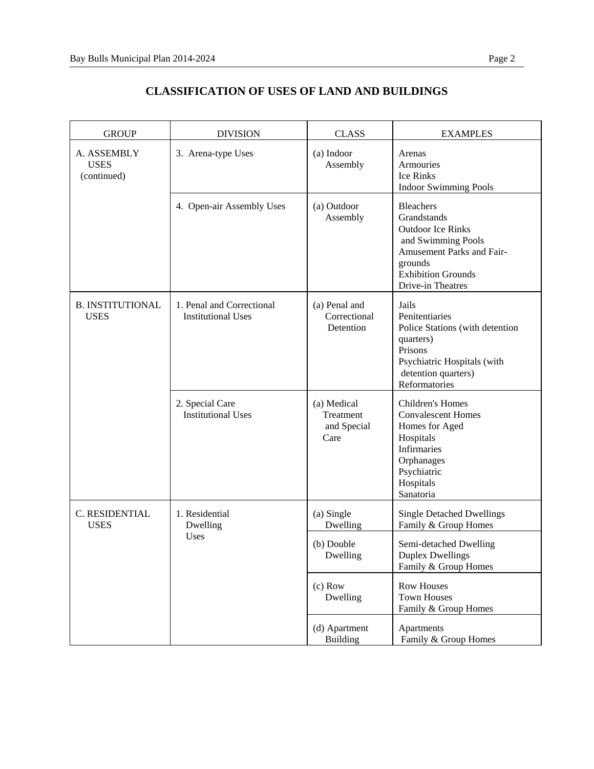| <b>GROUP</b>                              | <b>DIVISION</b>                                        | <b>CLASS</b>                                    | <b>EXAMPLES</b>                                                                                                                                                                    |
|-------------------------------------------|--------------------------------------------------------|-------------------------------------------------|------------------------------------------------------------------------------------------------------------------------------------------------------------------------------------|
| A. ASSEMBLY<br><b>USES</b><br>(continued) | 3. Arena-type Uses                                     | (a) Indoor<br>Assembly                          | Arenas<br>Armouries<br><b>Ice Rinks</b><br><b>Indoor Swimming Pools</b>                                                                                                            |
|                                           | 4. Open-air Assembly Uses                              | (a) Outdoor<br>Assembly                         | <b>Bleachers</b><br>Grandstands<br><b>Outdoor Ice Rinks</b><br>and Swimming Pools<br><b>Amusement Parks and Fair-</b><br>grounds<br><b>Exhibition Grounds</b><br>Drive-in Theatres |
| <b>B. INSTITUTIONAL</b><br><b>USES</b>    | 1. Penal and Correctional<br><b>Institutional Uses</b> | (a) Penal and<br>Correctional<br>Detention      | Jails<br>Penitentiaries<br>Police Stations (with detention<br>quarters)<br>Prisons<br>Psychiatric Hospitals (with<br>detention quarters)<br>Reformatories                          |
|                                           | 2. Special Care<br><b>Institutional Uses</b>           | (a) Medical<br>Treatment<br>and Special<br>Care | Children's Homes<br><b>Convalescent Homes</b><br>Homes for Aged<br>Hospitals<br><b>Infirmaries</b><br>Orphanages<br>Psychiatric<br>Hospitals<br>Sanatoria                          |
| C. RESIDENTIAL<br><b>USES</b>             | 1. Residential<br>Dwelling<br>Uses                     | (a) Single<br>Dwelling                          | <b>Single Detached Dwellings</b><br>Family & Group Homes                                                                                                                           |
|                                           |                                                        | (b) Double<br>Dwelling                          | Semi-detached Dwelling<br><b>Duplex Dwellings</b><br>Family & Group Homes                                                                                                          |
|                                           |                                                        | $(c)$ Row<br>Dwelling                           | <b>Row Houses</b><br><b>Town Houses</b><br>Family & Group Homes                                                                                                                    |
|                                           |                                                        | (d) Apartment<br>Building                       | Apartments<br>Family & Group Homes                                                                                                                                                 |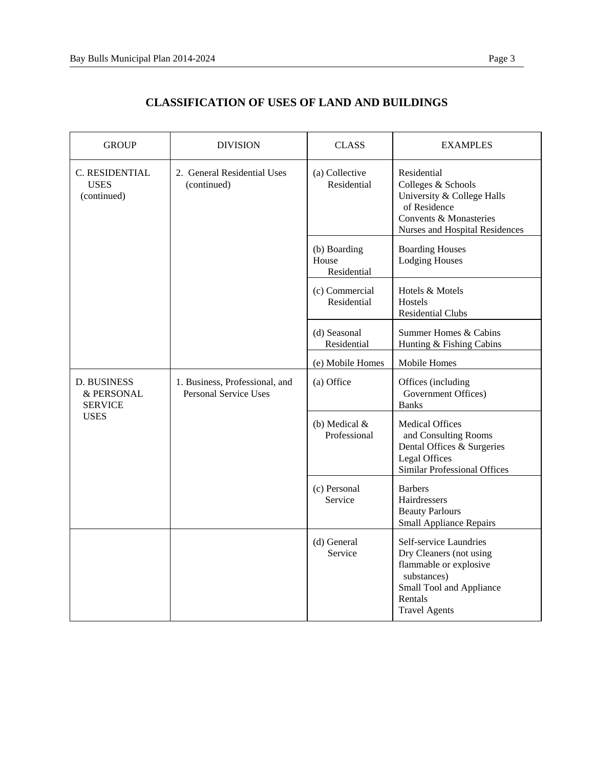| <b>GROUP</b>                                                      | <b>DIVISION</b>                                                | <b>CLASS</b>                         | <b>EXAMPLES</b>                                                                                                                                           |
|-------------------------------------------------------------------|----------------------------------------------------------------|--------------------------------------|-----------------------------------------------------------------------------------------------------------------------------------------------------------|
| C. RESIDENTIAL<br><b>USES</b><br>(continued)                      | 2. General Residential Uses<br>(continued)                     | (a) Collective<br>Residential        | Residential<br>Colleges & Schools<br>University & College Halls<br>of Residence<br>Convents & Monasteries<br>Nurses and Hospital Residences               |
|                                                                   |                                                                | (b) Boarding<br>House<br>Residential | <b>Boarding Houses</b><br><b>Lodging Houses</b>                                                                                                           |
|                                                                   |                                                                | (c) Commercial<br>Residential        | Hotels & Motels<br>Hostels<br><b>Residential Clubs</b>                                                                                                    |
|                                                                   |                                                                | (d) Seasonal<br>Residential          | Summer Homes & Cabins<br>Hunting & Fishing Cabins                                                                                                         |
|                                                                   |                                                                | (e) Mobile Homes                     | Mobile Homes                                                                                                                                              |
| <b>D. BUSINESS</b><br>& PERSONAL<br><b>SERVICE</b><br><b>USES</b> | 1. Business, Professional, and<br><b>Personal Service Uses</b> | (a) Office                           | Offices (including<br>Government Offices)<br><b>Banks</b>                                                                                                 |
|                                                                   |                                                                | (b) Medical $&$<br>Professional      | <b>Medical Offices</b><br>and Consulting Rooms<br>Dental Offices & Surgeries<br>Legal Offices<br><b>Similar Professional Offices</b>                      |
|                                                                   |                                                                | (c) Personal<br>Service              | <b>Barbers</b><br>Hairdressers<br><b>Beauty Parlours</b><br><b>Small Appliance Repairs</b>                                                                |
|                                                                   |                                                                | (d) General<br>Service               | Self-service Laundries<br>Dry Cleaners (not using<br>flammable or explosive<br>substances)<br>Small Tool and Appliance<br>Rentals<br><b>Travel Agents</b> |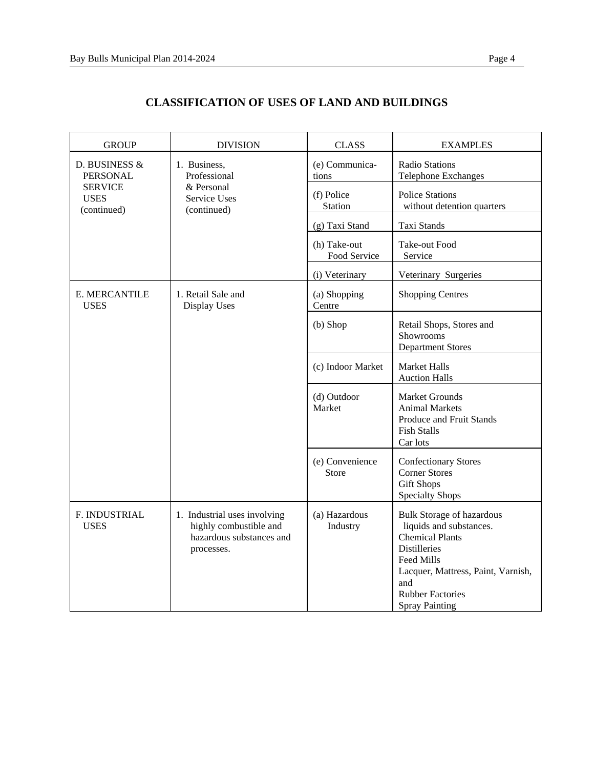| <b>GROUP</b>                                                                     | <b>DIVISION</b>                                                                                  | <b>CLASS</b>                 | <b>EXAMPLES</b>                                                                                                                                                                                                             |
|----------------------------------------------------------------------------------|--------------------------------------------------------------------------------------------------|------------------------------|-----------------------------------------------------------------------------------------------------------------------------------------------------------------------------------------------------------------------------|
| D. BUSINESS &<br><b>PERSONAL</b><br><b>SERVICE</b><br><b>USES</b><br>(continued) | 1. Business,<br>Professional<br>& Personal<br>Service Uses<br>(continued)                        | (e) Communica-<br>tions      | Radio Stations<br><b>Telephone Exchanges</b>                                                                                                                                                                                |
|                                                                                  |                                                                                                  | (f) Police<br>Station        | <b>Police Stations</b><br>without detention quarters                                                                                                                                                                        |
|                                                                                  |                                                                                                  | (g) Taxi Stand               | Taxi Stands                                                                                                                                                                                                                 |
|                                                                                  |                                                                                                  | (h) Take-out<br>Food Service | Take-out Food<br>Service                                                                                                                                                                                                    |
|                                                                                  |                                                                                                  | (i) Veterinary               | Veterinary Surgeries                                                                                                                                                                                                        |
| E. MERCANTILE<br><b>USES</b>                                                     | 1. Retail Sale and<br>Display Uses                                                               | (a) Shopping<br>Centre       | <b>Shopping Centres</b>                                                                                                                                                                                                     |
|                                                                                  |                                                                                                  | (b) Shop                     | Retail Shops, Stores and<br>Showrooms<br><b>Department Stores</b>                                                                                                                                                           |
|                                                                                  |                                                                                                  | (c) Indoor Market            | <b>Market Halls</b><br><b>Auction Halls</b>                                                                                                                                                                                 |
|                                                                                  |                                                                                                  | (d) Outdoor<br>Market        | Market Grounds<br><b>Animal Markets</b><br>Produce and Fruit Stands<br><b>Fish Stalls</b><br>Car lots                                                                                                                       |
|                                                                                  |                                                                                                  | (e) Convenience<br>Store     | <b>Confectionary Stores</b><br><b>Corner Stores</b><br><b>Gift Shops</b><br><b>Specialty Shops</b>                                                                                                                          |
| F. INDUSTRIAL<br><b>USES</b>                                                     | 1. Industrial uses involving<br>highly combustible and<br>hazardous substances and<br>processes. | (a) Hazardous<br>Industry    | <b>Bulk Storage of hazardous</b><br>liquids and substances.<br><b>Chemical Plants</b><br><b>Distilleries</b><br>Feed Mills<br>Lacquer, Mattress, Paint, Varnish,<br>and<br><b>Rubber Factories</b><br><b>Spray Painting</b> |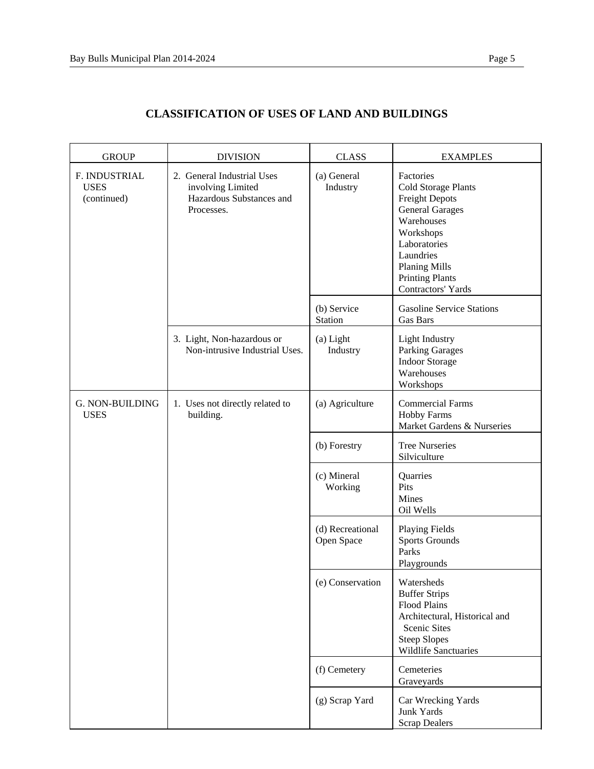| <b>GROUP</b>                                | <b>DIVISION</b>                                                                           | <b>CLASS</b>                   | <b>EXAMPLES</b>                                                                                                                                                                                                     |
|---------------------------------------------|-------------------------------------------------------------------------------------------|--------------------------------|---------------------------------------------------------------------------------------------------------------------------------------------------------------------------------------------------------------------|
| F. INDUSTRIAL<br><b>USES</b><br>(continued) | 2. General Industrial Uses<br>involving Limited<br>Hazardous Substances and<br>Processes. | (a) General<br>Industry        | Factories<br>Cold Storage Plants<br><b>Freight Depots</b><br><b>General Garages</b><br>Warehouses<br>Workshops<br>Laboratories<br>Laundries<br><b>Planing Mills</b><br><b>Printing Plants</b><br>Contractors' Yards |
|                                             |                                                                                           | (b) Service<br>Station         | <b>Gasoline Service Stations</b><br>Gas Bars                                                                                                                                                                        |
|                                             | 3. Light, Non-hazardous or<br>Non-intrusive Industrial Uses.                              | (a) Light<br>Industry          | <b>Light Industry</b><br><b>Parking Garages</b><br><b>Indoor Storage</b><br>Warehouses<br>Workshops                                                                                                                 |
| G. NON-BUILDING<br><b>USES</b>              | 1. Uses not directly related to<br>building.                                              | (a) Agriculture                | <b>Commercial Farms</b><br><b>Hobby Farms</b><br>Market Gardens & Nurseries                                                                                                                                         |
|                                             |                                                                                           | (b) Forestry                   | <b>Tree Nurseries</b><br>Silviculture                                                                                                                                                                               |
|                                             |                                                                                           | (c) Mineral<br>Working         | Quarries<br>Pits<br>Mines<br>Oil Wells                                                                                                                                                                              |
|                                             |                                                                                           | (d) Recreational<br>Open Space | <b>Playing Fields</b><br><b>Sports Grounds</b><br>Parks<br>Playgrounds                                                                                                                                              |
|                                             |                                                                                           | (e) Conservation               | Watersheds<br><b>Buffer Strips</b><br><b>Flood Plains</b><br>Architectural, Historical and<br><b>Scenic Sites</b><br><b>Steep Slopes</b><br><b>Wildlife Sanctuaries</b>                                             |
|                                             |                                                                                           | (f) Cemetery                   | Cemeteries<br>Graveyards                                                                                                                                                                                            |
|                                             |                                                                                           | (g) Scrap Yard                 | Car Wrecking Yards<br>Junk Yards<br><b>Scrap Dealers</b>                                                                                                                                                            |